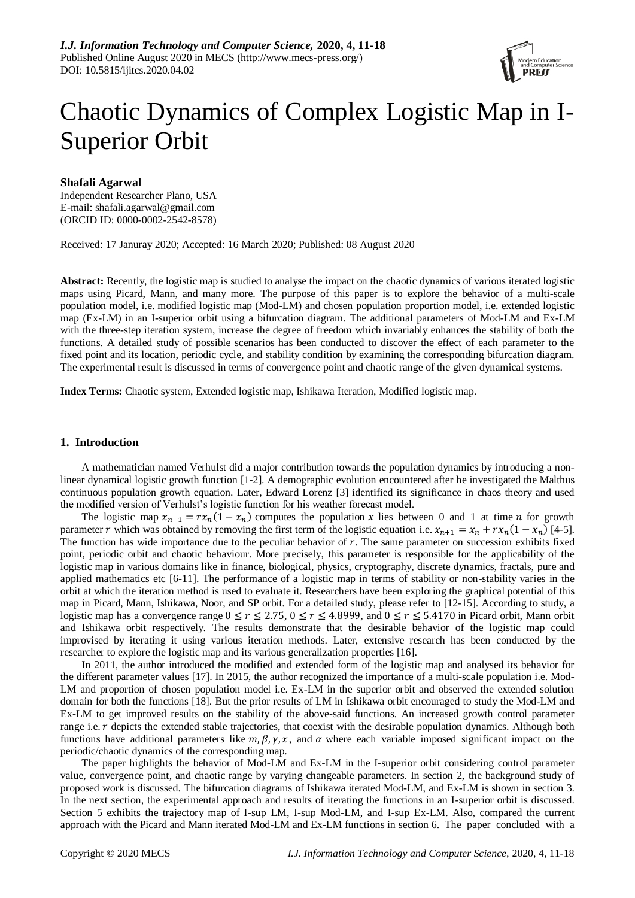

# Chaotic Dynamics of Complex Logistic Map in I-Superior Orbit

## **Shafali Agarwal**

Independent Researcher Plano, USA E-mail: [shafali.agarwal@gmail.com](mailto:shafali.agarwal@gmail.com) (ORCID ID: 0000-0002-2542-8578)

Received: 17 Januray 2020; Accepted: 16 March 2020; Published: 08 August 2020

**Abstract:** Recently, the logistic map is studied to analyse the impact on the chaotic dynamics of various iterated logistic maps using Picard, Mann, and many more. The purpose of this paper is to explore the behavior of a multi-scale population model, i.e. modified logistic map (Mod-LM) and chosen population proportion model, i.e. extended logistic map (Ex-LM) in an I-superior orbit using a bifurcation diagram. The additional parameters of Mod-LM and Ex-LM with the three-step iteration system, increase the degree of freedom which invariably enhances the stability of both the functions. A detailed study of possible scenarios has been conducted to discover the effect of each parameter to the fixed point and its location, periodic cycle, and stability condition by examining the corresponding bifurcation diagram. The experimental result is discussed in terms of convergence point and chaotic range of the given dynamical systems.

**Index Terms:** Chaotic system, Extended logistic map, Ishikawa Iteration, Modified logistic map.

## **1. Introduction**

A mathematician named Verhulst did a major contribution towards the population dynamics by introducing a nonlinear dynamical logistic growth function [1-2]. A demographic evolution encountered after he investigated the Malthus continuous population growth equation. Later, Edward Lorenz [3] identified its significance in chaos theory and used the modified version of Verhulst's logistic function for his weather forecast model.

The logistic map  $x_{n+1} = rx_n(1 - x_n)$  computes the population x lies between 0 and 1 at time n for growth parameter r which was obtained by removing the first term of the logistic equation i.e.  $x_{n+1} = x_n + rx_n(1 - x_n)$  [4-5]. The function has wide importance due to the peculiar behavior of  $r$ . The same parameter on succession exhibits fixed point, periodic orbit and chaotic behaviour. More precisely, this parameter is responsible for the applicability of the logistic map in various domains like in finance, biological, physics, cryptography, discrete dynamics, fractals, pure and applied mathematics etc [6-11]. The performance of a logistic map in terms of stability or non-stability varies in the orbit at which the iteration method is used to evaluate it. Researchers have been exploring the graphical potential of this map in Picard, Mann, Ishikawa, Noor, and SP orbit. For a detailed study, please refer to [12-15]. According to study, a logistic map has a convergence range  $0 \le r \le 2.75$ ,  $0 \le r \le 4.8999$ , and  $0 \le r \le 5.4170$  in Picard orbit, Mann orbit and Ishikawa orbit respectively. The results demonstrate that the desirable behavior of the logistic map could improvised by iterating it using various iteration methods. Later, extensive research has been conducted by the researcher to explore the logistic map and its various generalization properties [16].

In 2011, the author introduced the modified and extended form of the logistic map and analysed its behavior for the different parameter values [17]. In 2015, the author recognized the importance of a multi-scale population i.e. Mod-LM and proportion of chosen population model i.e. Ex-LM in the superior orbit and observed the extended solution domain for both the functions [18]. But the prior results of LM in Ishikawa orbit encouraged to study the Mod-LM and Ex-LM to get improved results on the stability of the above-said functions. An increased growth control parameter range i.e. r depicts the extended stable trajectories, that coexist with the desirable population dynamics. Although both functions have additional parameters like  $m, \beta, \gamma, x$ , and  $\alpha$  where each variable imposed significant impact on the periodic/chaotic dynamics of the corresponding map.

The paper highlights the behavior of Mod-LM and Ex-LM in the I-superior orbit considering control parameter value, convergence point, and chaotic range by varying changeable parameters. In section 2, the background study of proposed work is discussed. The bifurcation diagrams of Ishikawa iterated Mod-LM, and Ex-LM is shown in section 3. In the next section, the experimental approach and results of iterating the functions in an I-superior orbit is discussed. Section 5 exhibits the trajectory map of I-sup LM, I-sup Mod-LM, and I-sup Ex-LM. Also, compared the current approach with the Picard and Mann iterated Mod-LM and Ex-LM functions in section 6. The paper concluded with a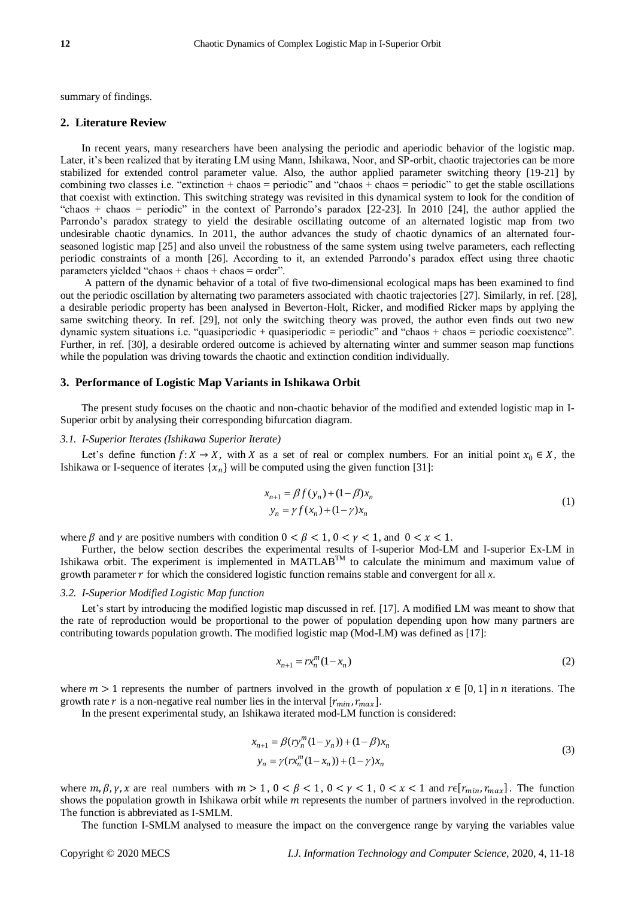summary of findings.

## **2. Literature Review**

In recent years, many researchers have been analysing the periodic and aperiodic behavior of the logistic map. Later, it's been realized that by iterating LM using Mann, Ishikawa, Noor, and SP-orbit, chaotic trajectories can be more stabilized for extended control parameter value. Also, the author applied parameter switching theory [19-21] by combining two classes i.e. "extinction + chaos = periodic" and "chaos + chaos = periodic" to get the stable oscillations that coexist with extinction. This switching strategy was revisited in this dynamical system to look for the condition of "chaos + chaos = periodic" in the context of Parrondo's paradox [22-23]. In 2010 [24], the author applied the Parrondo's paradox strategy to yield the desirable oscillating outcome of an alternated logistic map from two undesirable chaotic dynamics. In 2011, the author advances the study of chaotic dynamics of an alternated fourseasoned logistic map [25] and also unveil the robustness of the same system using twelve parameters, each reflecting periodic constraints of a month [26]. According to it, an extended Parrondo's paradox effect using three chaotic parameters yielded "chaos + chaos + chaos = order".

A pattern of the dynamic behavior of a total of five two-dimensional ecological maps has been examined to find out the periodic oscillation by alternating two parameters associated with chaotic trajectories [27]. Similarly, in ref. [28], a desirable periodic property has been analysed in Beverton-Holt, Ricker, and modified Ricker maps by applying the same switching theory. In ref. [29], not only the switching theory was proved, the author even finds out two new dynamic system situations i.e. "quasiperiodic + quasiperiodic = periodic" and "chaos + chaos = periodic coexistence". Further, in ref. [30], a desirable ordered outcome is achieved by alternating winter and summer season map functions while the population was driving towards the chaotic and extinction condition individually.

#### **3. Performance of Logistic Map Variants in Ishikawa Orbit**

The present study focuses on the chaotic and non-chaotic behavior of the modified and extended logistic map in I-Superior orbit by analysing their corresponding bifurcation diagram.

#### *3.1. I-Superior Iterates (Ishikawa Superior Iterate)*

Let's define function  $f: X \to X$ , with X as a set of real or complex numbers. For an initial point  $x_0 \in X$ , the Ishikawa or I-sequence of iterates  $\{x_n\}$  will be computed using the given function [31]:

$$
x_{n+1} = \beta f(y_n) + (1 - \beta)x_n
$$
  
\n
$$
y_n = \gamma f(x_n) + (1 - \gamma)x_n
$$
 (1)

where  $\beta$  and  $\gamma$  are positive numbers with condition  $0 < \beta < 1$ ,  $0 < \gamma < 1$ , and  $0 < x < 1$ .

Further, the below section describes the experimental results of I-superior Mod-LM and I-superior Ex-LM in Ishikawa orbit. The experiment is implemented in MATLAB<sup>TM</sup> to calculate the minimum and maximum value of growth parameter  $r$  for which the considered logistic function remains stable and convergent for all  $x$ .

#### *3.2. I-Superior Modified Logistic Map function*

Let's start by introducing the modified logistic map discussed in ref. [17]. A modified LM was meant to show that the rate of reproduction would be proportional to the power of population depending upon how many partners are contributing towards population growth. The modified logistic map (Mod-LM) was defined as [17]:

$$
x_{n+1} = rx_n^m (1 - x_n)
$$
 (2)

where  $m > 1$  represents the number of partners involved in the growth of population  $x \in [0,1]$  in *n* iterations. The growth rate r is a non-negative real number lies in the interval  $[r_{min}, r_{max}]$ .

In the present experimental study, an Ishikawa iterated mod-LM function is considered:

$$
x_{n+1} = \beta (r y_n^m (1 - y_n)) + (1 - \beta) x_n
$$
  
\n
$$
y_n = \gamma (r x_n^m (1 - x_n)) + (1 - \gamma) x_n
$$
\n(3)

where  $m, \beta, \gamma, x$  are real numbers with  $m > 1$ ,  $0 < \beta < 1$ ,  $0 < \gamma < 1$ ,  $0 < x < 1$  and  $r \in [r_{min}, r_{max}]$ . The function shows the population growth in Ishikawa orbit while  $m$  represents the number of partners involved in the reproduction. The function is abbreviated as I-SMLM.

The function I-SMLM analysed to measure the impact on the convergence range by varying the variables value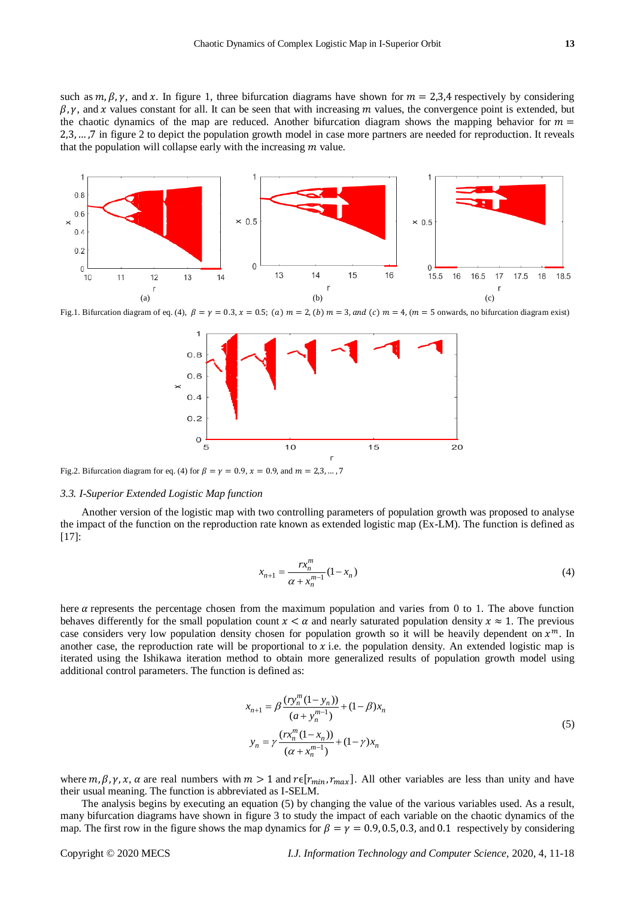such as  $m, \beta, \gamma$ , and x. In figure 1, three bifurcation diagrams have shown for  $m = 2,3,4$  respectively by considering  $\beta$ ,  $\gamma$ , and x values constant for all. It can be seen that with increasing m values, the convergence point is extended, but the chaotic dynamics of the map are reduced. Another bifurcation diagram shows the mapping behavior for  $m =$ 2,3, … ,7 in figure 2 to depict the population growth model in case more partners are needed for reproduction. It reveals that the population will collapse early with the increasing  *value.* 



Fig.1. Bifurcation diagram of eq. (4),  $\beta = \gamma = 0.3$ ,  $\chi = 0.5$ ; (a)  $m = 2$ , (b)  $m = 3$ , and (c)  $m = 4$ , (m = 5 onwards, no bifurcation diagram exist)



Fig.2. Bifurcation diagram for eq. (4) for  $\beta = \gamma = 0.9$ ,  $x = 0.9$ , and  $m = 2.3$ , ..., 7

#### *3.3. I-Superior Extended Logistic Map function*

Another version of the logistic map with two controlling parameters of population growth was proposed to analyse the impact of the function on the reproduction rate known as extended logistic map (Ex-LM). The function is defined as [17]:

$$
x_{n+1} = \frac{rx_n^m}{\alpha + x_n^{m-1}} (1 - x_n)
$$
 (4)

here  $\alpha$  represents the percentage chosen from the maximum population and varies from 0 to 1. The above function behaves differently for the small population count  $x < \alpha$  and nearly saturated population density  $x \approx 1$ . The previous case considers very low population density chosen for population growth so it will be heavily dependent on  $x^m$ . In another case, the reproduction rate will be proportional to  $x$  i.e. the population density. An extended logistic map is iterated using the Ishikawa iteration method to obtain more generalized results of population growth model using additional control parameters. The function is defined as:

$$
x_{n+1} = \beta \frac{(ry_n^m (1 - y_n))}{(a + y_n^{m-1})} + (1 - \beta) x_n
$$
  

$$
y_n = \gamma \frac{(rx_n^m (1 - x_n))}{(\alpha + x_n^{m-1})} + (1 - \gamma) x_n
$$
 (5)

where  $m, \beta, \gamma, x, \alpha$  are real numbers with  $m > 1$  and  $r \in [r_{min}, r_{max}]$ . All other variables are less than unity and have their usual meaning. The function is abbreviated as I-SELM.

The analysis begins by executing an equation (5) by changing the value of the various variables used. As a result, many bifurcation diagrams have shown in figure 3 to study the impact of each variable on the chaotic dynamics of the map. The first row in the figure shows the map dynamics for  $\beta = \gamma = 0.9, 0.5, 0.3$ , and 0.1 respectively by considering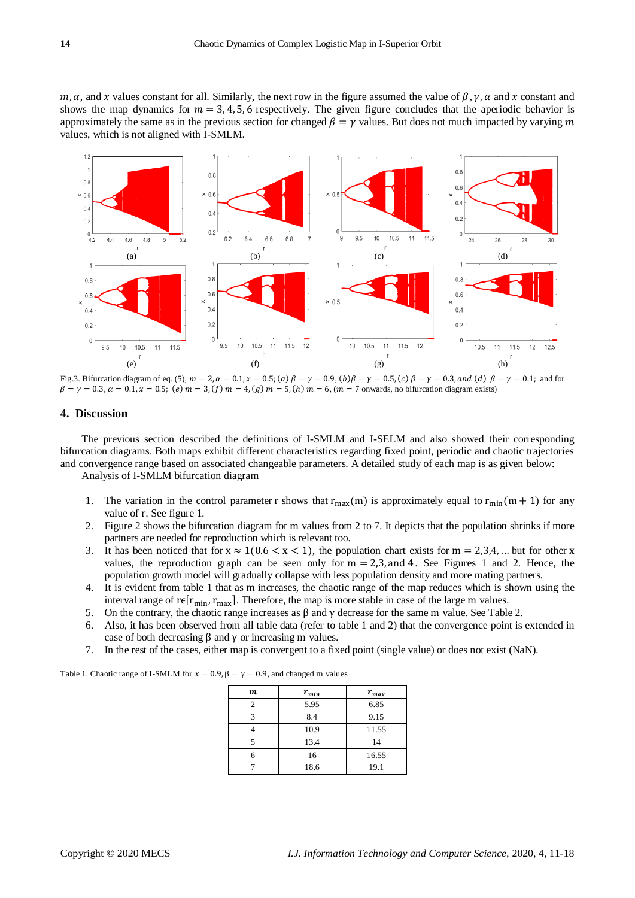$m, \alpha$ , and x values constant for all. Similarly, the next row in the figure assumed the value of  $\beta, \gamma, \alpha$  and x constant and shows the map dynamics for  $m = 3, 4, 5, 6$  respectively. The given figure concludes that the aperiodic behavior is approximately the same as in the previous section for changed  $\beta = \gamma$  values. But does not much impacted by varying m values, which is not aligned with I-SMLM.



Fig.3. Bifurcation diagram of eq. (5),  $m = 2$ ,  $\alpha = 0.1$ ,  $x = 0.5$ ; (a)  $\beta = \gamma = 0.9$ , (b)  $\beta = \gamma = 0.5$ , (c)  $\beta = \gamma = 0.3$ , and (d)  $\beta = \gamma = 0.1$ ; and for  $\beta = \gamma = 0.3, \alpha = 0.1, x = 0.5$ ; (e)  $m = 3$ , (f)  $m = 4$ , (g)  $m = 5$ , (h)  $m = 6$ , (m = 7 onwards, no bifurcation diagram exists)

# **4. Discussion**

The previous section described the definitions of I-SMLM and I-SELM and also showed their corresponding bifurcation diagrams. Both maps exhibit different characteristics regarding fixed point, periodic and chaotic trajectories and convergence range based on associated changeable parameters. A detailed study of each map is as given below: Analysis of I-SMLM bifurcation diagram

- 1. The variation in the control parameter r shows that  $r_{max}(m)$  is approximately equal to  $r_{min}(m + 1)$  for any value of r. See figure 1.
- 2. Figure 2 shows the bifurcation diagram for m values from 2 to 7. It depicts that the population shrinks if more partners are needed for reproduction which is relevant too.
- 3. It has been noticed that for  $x \approx 1(0.6 < x < 1)$ , the population chart exists for  $m = 2,3,4,...$  but for other x values, the reproduction graph can be seen only for  $m = 2,3$ , and 4. See Figures 1 and 2. Hence, the population growth model will gradually collapse with less population density and more mating partners.
- 4. It is evident from table 1 that as m increases, the chaotic range of the map reduces which is shown using the interval range of r $\varepsilon$ [ $r_{\text{min}}$ ,  $r_{\text{max}}$ ]. Therefore, the map is more stable in case of the large m values.
- 5. On the contrary, the chaotic range increases as β and γ decrease for the same m value. See Table 2.
- 6. Also, it has been observed from all table data (refer to table 1 and 2) that the convergence point is extended in case of both decreasing β and γ or increasing m values.
- 7. In the rest of the cases, either map is convergent to a fixed point (single value) or does not exist (NaN).

Table 1. Chaotic range of I-SMLM for  $x = 0.9$ ,  $\beta = \gamma = 0.9$ , and changed m values

| $\boldsymbol{m}$ | $r_{min}$ | $r_{max}$ |
|------------------|-----------|-----------|
|                  | 5.95      | 6.85      |
|                  | 8.4       | 9.15      |
|                  | 10.9      | 11.55     |
|                  | 13.4      | 14        |
|                  | 16        | 16.55     |
|                  | 18.6      | 19.1      |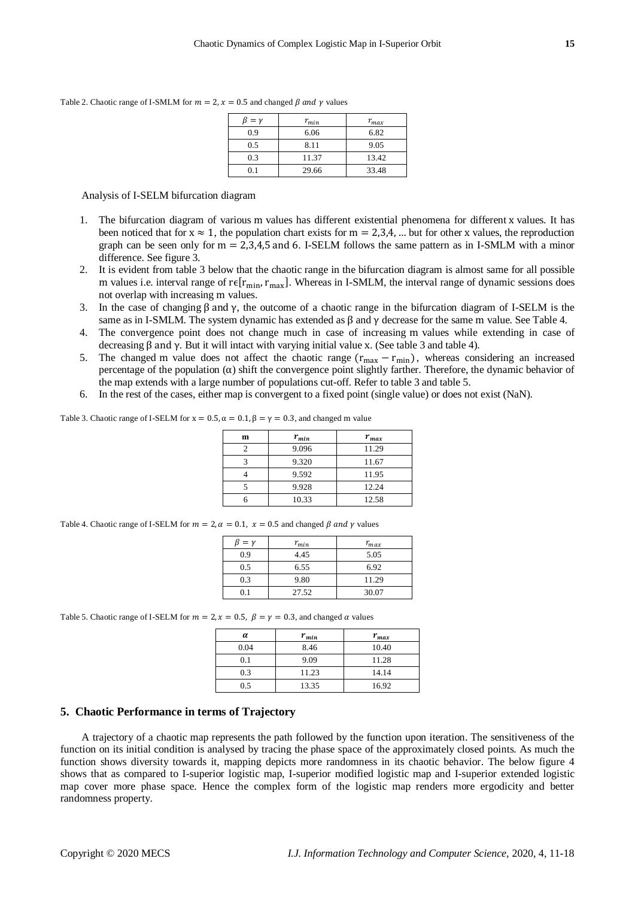Table 2. Chaotic range of I-SMLM for  $m = 2$ ,  $x = 0.5$  and changed  $\beta$  and  $\gamma$  values

| $= \nu$ | $r_{min}$ | $r_{max}$ |
|---------|-----------|-----------|
| 0.9     | 6.06      | 6.82      |
| 0.5     | 8.11      | 9.05      |
| 0.3     | 11.37     | 13.42     |
| D 1     | 29.66     | 33.48     |

Analysis of I-SELM bifurcation diagram

- 1. The bifurcation diagram of various m values has different existential phenomena for different x values. It has been noticed that for  $x \approx 1$ , the population chart exists for  $m = 2,3,4,...$  but for other x values, the reproduction graph can be seen only for  $m = 2,3,4,5$  and 6. I-SELM follows the same pattern as in I-SMLM with a minor difference. See figure 3.
- 2. It is evident from table 3 below that the chaotic range in the bifurcation diagram is almost same for all possible m values i.e. interval range of r $\varepsilon$ [ $r_{\text{min}}$ ,  $r_{\text{max}}$ ]. Whereas in I-SMLM, the interval range of dynamic sessions does not overlap with increasing m values.
- 3. In the case of changing β and γ, the outcome of a chaotic range in the bifurcation diagram of I-SELM is the same as in I-SMLM. The system dynamic has extended as  $\beta$  and  $\gamma$  decrease for the same m value. See Table 4.
- 4. The convergence point does not change much in case of increasing m values while extending in case of decreasing β and γ. But it will intact with varying initial value x. (See table 3 and table 4).
- 5. The changed m value does not affect the chaotic range  $(r_{\text{max}} r_{\text{min}})$ , whereas considering an increased percentage of the population  $(\alpha)$  shift the convergence point slightly farther. Therefore, the dynamic behavior of the map extends with a large number of populations cut-off. Refer to table 3 and table 5.
- 6. In the rest of the cases, either map is convergent to a fixed point (single value) or does not exist (NaN).

| Table 3. Chaotic range of I-SELM for $x = 0.5$ , $\alpha = 0.1$ , $\beta = \gamma = 0.3$ , and changed m value |  |  |  |
|----------------------------------------------------------------------------------------------------------------|--|--|--|
|                                                                                                                |  |  |  |

| m | $r_{min}$ | $r_{max}$ |
|---|-----------|-----------|
|   | 9.096     | 11.29     |
|   | 9.320     | 11.67     |
|   | 9.592     | 11.95     |
|   | 9.928     | 12.24     |
|   | 10.33     | 12.58     |
|   |           |           |

| Table 4. Chaotic range of I-SELM for $m = 2$ , $\alpha = 0.1$ , $x = 0.5$ and changed $\beta$ and $\gamma$ values |  |
|-------------------------------------------------------------------------------------------------------------------|--|
|-------------------------------------------------------------------------------------------------------------------|--|

| $= \nu$ | $r_{min}$ | $r_{max}$ |
|---------|-----------|-----------|
| 0.9     | 4.45      | 5.05      |
| 0.5     | 6.55      | 6.92      |
| 0.3     | 9.80      | 11.29     |
| 0.1     | 27.52     | 30.07     |

Table 5. Chaotic range of I-SELM for  $m = 2$ ,  $x = 0.5$ ,  $\beta = \gamma = 0.3$ , and changed  $\alpha$  values

| α    | $r_{min}$ | $r_{max}$ |
|------|-----------|-----------|
| 0.04 | 8.46      | 10.40     |
| 0.1  | 9.09      | 11.28     |
| 0.3  | 11.23     | 14.14     |
| 0.5  | 13.35     | 16.92     |

# **5. Chaotic Performance in terms of Trajectory**

A trajectory of a chaotic map represents the path followed by the function upon iteration. The sensitiveness of the function on its initial condition is analysed by tracing the phase space of the approximately closed points. As much the function shows diversity towards it, mapping depicts more randomness in its chaotic behavior. The below figure 4 shows that as compared to I-superior logistic map, I-superior modified logistic map and I-superior extended logistic map cover more phase space. Hence the complex form of the logistic map renders more ergodicity and better randomness property.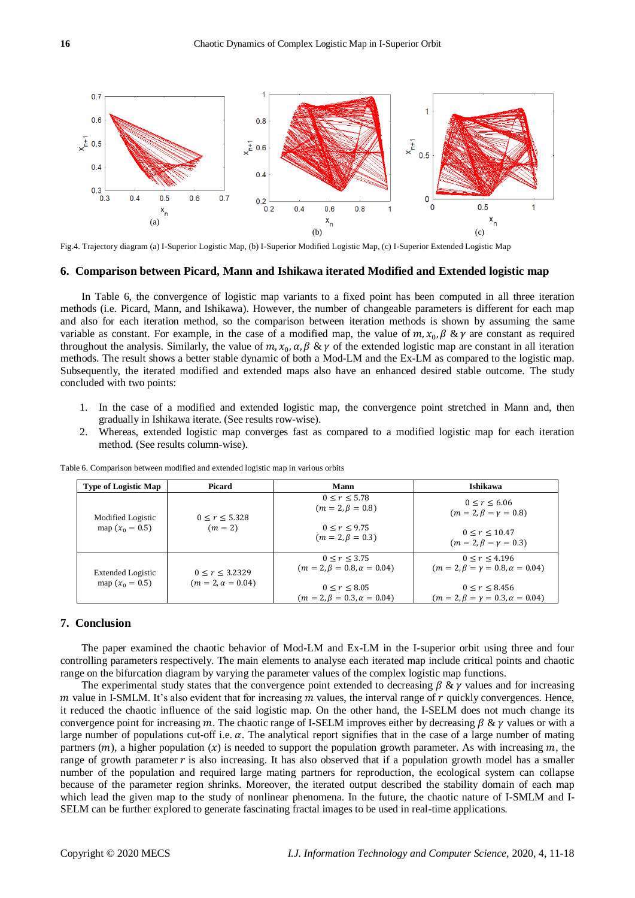

Fig.4. Trajectory diagram (a) I-Superior Logistic Map, (b) I-Superior Modified Logistic Map, (c) I-Superior Extended Logistic Map

#### **6. Comparison between Picard, Mann and Ishikawa iterated Modified and Extended logistic map**

In Table 6, the convergence of logistic map variants to a fixed point has been computed in all three iteration methods (i.e. Picard, Mann, and Ishikawa). However, the number of changeable parameters is different for each map and also for each iteration method, so the comparison between iteration methods is shown by assuming the same variable as constant. For example, in the case of a modified map, the value of  $m$ ,  $x_0$ ,  $\beta$  &  $\gamma$  are constant as required throughout the analysis. Similarly, the value of  $m, x_0, \alpha, \beta \& \gamma$  of the extended logistic map are constant in all iteration methods. The result shows a better stable dynamic of both a Mod-LM and the Ex-LM as compared to the logistic map. Subsequently, the iterated modified and extended maps also have an enhanced desired stable outcome. The study concluded with two points:

- 1. In the case of a modified and extended logistic map, the convergence point stretched in Mann and, then gradually in Ishikawa iterate. (See results row-wise).
- 2. Whereas, extended logistic map converges fast as compared to a modified logistic map for each iteration method. (See results column-wise).

| <b>Type of Logistic Map</b> | <b>Picard</b>            | Mann                                                  | <b>Ishikawa</b>                                                 |
|-----------------------------|--------------------------|-------------------------------------------------------|-----------------------------------------------------------------|
| Modified Logistic           | 0 < r < 5.328            | 0 < r < 5.78<br>$(m = 2, \beta = 0.8)$                | 0 < r < 6.06<br>$(m = 2, \beta = \gamma = 0.8)$                 |
| map $(x_0 = 0.5)$           | $(m = 2)$                | 0 < r < 9.75<br>$(m = 2, \beta = 0.3)$                | 0 < r < 10.47<br>$(m = 2, \beta = \gamma = 0.3)$                |
| <b>Extended Logistic</b>    | 0 < r < 3.2329           | 0 < r < 3.75<br>$(m = 2, \beta = 0.8, \alpha = 0.04)$ | 0 < r < 4.196<br>$(m = 2, \beta = \gamma = 0.8, \alpha = 0.04)$ |
| map $(x_0 = 0.5)$           | $(m = 2, \alpha = 0.04)$ | 0 < r < 8.05<br>$(m = 2, \beta = 0.3, \alpha = 0.04)$ | 0 < r < 8.456<br>$(m = 2, \beta = \gamma = 0.3, \alpha = 0.04)$ |

Table 6. Comparison between modified and extended logistic map in various orbits

# **7. Conclusion**

The paper examined the chaotic behavior of Mod-LM and Ex-LM in the I-superior orbit using three and four controlling parameters respectively. The main elements to analyse each iterated map include critical points and chaotic range on the bifurcation diagram by varying the parameter values of the complex logistic map functions.

The experimental study states that the convergence point extended to decreasing  $\beta \& \gamma$  values and for increasing m value in I-SMLM. It's also evident that for increasing  $m$  values, the interval range of  $r$  quickly convergences. Hence, it reduced the chaotic influence of the said logistic map. On the other hand, the I-SELM does not much change its convergence point for increasing m. The chaotic range of I-SELM improves either by decreasing  $\beta \& \gamma$  values or with a large number of populations cut-off i.e.  $\alpha$ . The analytical report signifies that in the case of a large number of mating partners  $(m)$ , a higher population  $(x)$  is needed to support the population growth parameter. As with increasing  $m$ , the range of growth parameter  $r$  is also increasing. It has also observed that if a population growth model has a smaller number of the population and required large mating partners for reproduction, the ecological system can collapse because of the parameter region shrinks. Moreover, the iterated output described the stability domain of each map which lead the given map to the study of nonlinear phenomena. In the future, the chaotic nature of I-SMLM and I-SELM can be further explored to generate fascinating fractal images to be used in real-time applications.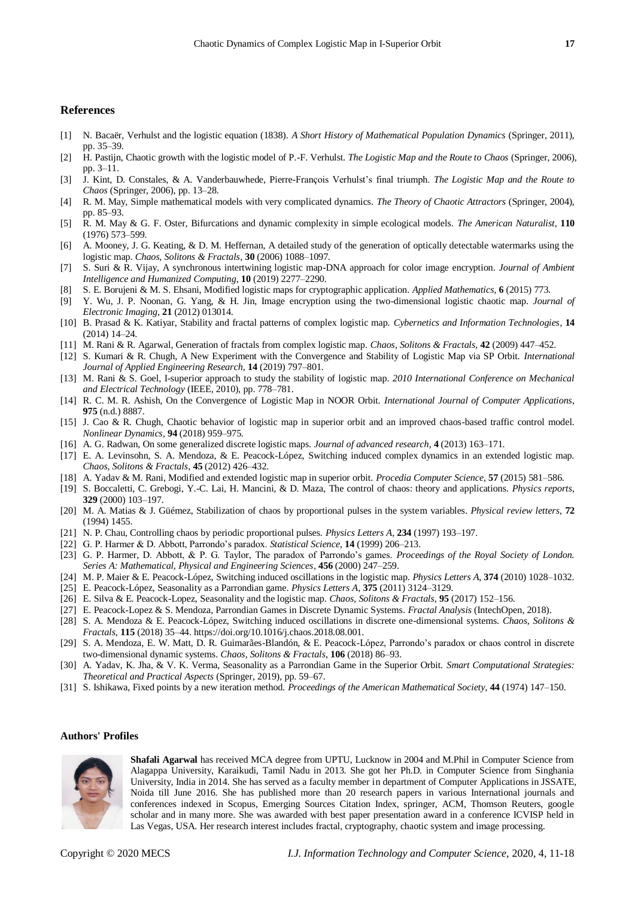#### **References**

- [1] N. Bacaër, Verhulst and the logistic equation (1838). *A Short History of Mathematical Population Dynamics* (Springer, 2011), pp. 35–39.
- [2] H. Pastijn, Chaotic growth with the logistic model of P.-F. Verhulst. *The Logistic Map and the Route to Chaos* (Springer, 2006), pp. 3–11.
- [3] J. Kint, D. Constales, & A. Vanderbauwhede, Pierre-François Verhulst's final triumph. *The Logistic Map and the Route to Chaos* (Springer, 2006), pp. 13–28.
- [4] R. M. May, Simple mathematical models with very complicated dynamics. *The Theory of Chaotic Attractors* (Springer, 2004), pp. 85–93.
- [5] R. M. May & G. F. Oster, Bifurcations and dynamic complexity in simple ecological models. *The American Naturalist*, **110** (1976) 573–599.
- [6] A. Mooney, J. G. Keating, & D. M. Heffernan, A detailed study of the generation of optically detectable watermarks using the logistic map. *Chaos, Solitons & Fractals*, **30** (2006) 1088–1097.
- [7] S. Suri & R. Vijay, A synchronous intertwining logistic map-DNA approach for color image encryption. *Journal of Ambient Intelligence and Humanized Computing*, **10** (2019) 2277–2290.
- [8] S. E. Borujeni & M. S. Ehsani, Modified logistic maps for cryptographic application. *Applied Mathematics*, **6** (2015) 773.
- [9] Y. Wu, J. P. Noonan, G. Yang, & H. Jin, Image encryption using the two-dimensional logistic chaotic map. *Journal of Electronic Imaging*, **21** (2012) 013014.
- [10] B. Prasad & K. Katiyar, Stability and fractal patterns of complex logistic map. *Cybernetics and Information Technologies*, **14** (2014) 14–24.
- [11] M. Rani & R. Agarwal, Generation of fractals from complex logistic map. *Chaos, Solitons & Fractals*, **42** (2009) 447–452.
- [12] S. Kumari & R. Chugh, A New Experiment with the Convergence and Stability of Logistic Map via SP Orbit. *International Journal of Applied Engineering Research*, **14** (2019) 797–801.
- [13] M. Rani & S. Goel, I-superior approach to study the stability of logistic map. *2010 International Conference on Mechanical and Electrical Technology* (IEEE, 2010), pp. 778–781.
- [14] R. C. M. R. Ashish, On the Convergence of Logistic Map in NOOR Orbit. *International Journal of Computer Applications*, **975** (n.d.) 8887.
- [15] J. Cao & R. Chugh, Chaotic behavior of logistic map in superior orbit and an improved chaos-based traffic control model. *Nonlinear Dynamics*, **94** (2018) 959–975.
- [16] A. G. Radwan, On some generalized discrete logistic maps. *Journal of advanced research*, **4** (2013) 163–171.
- [17] E. A. Levinsohn, S. A. Mendoza, & E. Peacock-López, Switching induced complex dynamics in an extended logistic map. *Chaos, Solitons & Fractals*, **45** (2012) 426–432.
- [18] A. Yadav & M. Rani, Modified and extended logistic map in superior orbit. *Procedia Computer Science*, **57** (2015) 581–586.
- [19] S. Boccaletti, C. Grebogi, Y.-C. Lai, H. Mancini, & D. Maza, The control of chaos: theory and applications. *Physics reports*, **329** (2000) 103–197.
- [20] M. A. Matias & J. Güémez, Stabilization of chaos by proportional pulses in the system variables. *Physical review letters*, **72** (1994) 1455.
- [21] N. P. Chau, Controlling chaos by periodic proportional pulses. *Physics Letters A*, **234** (1997) 193–197.
- [22] G. P. Harmer & D. Abbott, Parrondo's paradox. *Statistical Science*, **14** (1999) 206–213.
- [23] G. P. Harmer, D. Abbott, & P. G. Taylor, The paradox of Parrondo's games. *Proceedings of the Royal Society of London. Series A: Mathematical, Physical and Engineering Sciences*, **456** (2000) 247–259.
- [24] M. P. Maier & E. Peacock-López, Switching induced oscillations in the logistic map. *Physics Letters A*, **374** (2010) 1028–1032.
- [25] E. Peacock-López, Seasonality as a Parrondian game. *Physics Letters A*, **375** (2011) 3124–3129.
- [26] E. Silva & E. Peacock-Lopez, Seasonality and the logistic map. *Chaos, Solitons & Fractals*, **95** (2017) 152–156.
- [27] E. Peacock-Lopez & S. Mendoza, Parrondian Games in Discrete Dynamic Systems. *Fractal Analysis* (IntechOpen, 2018).
- [28] S. A. Mendoza & E. Peacock-López, Switching induced oscillations in discrete one-dimensional systems. *Chaos, Solitons & Fractals*, **115** (2018) 35–44. https://doi.org/10.1016/j.chaos.2018.08.001.
- [29] S. A. Mendoza, E. W. Matt, D. R. Guimarães-Blandón, & E. Peacock-López, Parrondo's paradox or chaos control in discrete two-dimensional dynamic systems. *Chaos, Solitons & Fractals*, **106** (2018) 86–93.
- [30] A. Yadav, K. Jha, & V. K. Verma, Seasonality as a Parrondian Game in the Superior Orbit. *Smart Computational Strategies: Theoretical and Practical Aspects* (Springer, 2019), pp. 59–67.
- [31] S. Ishikawa, Fixed points by a new iteration method. *Proceedings of the American Mathematical Society*, **44** (1974) 147–150.

## **Authors' Profiles**



**Shafali Agarwal** has received MCA degree from UPTU, Lucknow in 2004 and M.Phil in Computer Science from Alagappa University, Karaikudi, Tamil Nadu in 2013. She got her Ph.D. in Computer Science from Singhania University, India in 2014. She has served as a faculty member in department of Computer Applications in JSSATE, Noida till June 2016. She has published more than 20 research papers in various International journals and conferences indexed in Scopus, Emerging Sources Citation Index, springer, ACM, Thomson Reuters, google scholar and in many more. She was awarded with best paper presentation award in a conference ICVISP held in Las Vegas, USA. Her research interest includes fractal, cryptography, chaotic system and image processing.